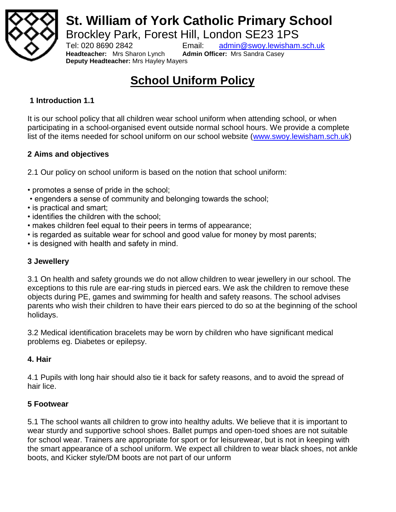

# **St. William of York Catholic Primary School**

Brockley Park, Forest Hill, London SE23 1PS

**Headteacher:** Mrs Sharon Lynch **Admin Officer:** Mrs Sandra Casey **Deputy Headteacher:** Mrs Hayley Mayers

Tel: 020 8690 2842 Email: [admin@swoy.lewisham.sch.uk](mailto:admin@swoy.lewisham.sch.uk)

# **School Uniform Policy**

#### **1 Introduction 1.1**

It is our school policy that all children wear school uniform when attending school, or when participating in a school-organised event outside normal school hours. We provide a complete list of the items needed for school uniform on our school website [\(www.swoy.lewisham.sch.uk\)](http://www.swoy.lewisham.sch.uk/)

#### **2 Aims and objectives**

2.1 Our policy on school uniform is based on the notion that school uniform:

- promotes a sense of pride in the school;
- engenders a sense of community and belonging towards the school;
- is practical and smart;
- identifies the children with the school;
- makes children feel equal to their peers in terms of appearance;
- is regarded as suitable wear for school and good value for money by most parents;
- is designed with health and safety in mind.

#### **3 Jewellery**

3.1 On health and safety grounds we do not allow children to wear jewellery in our school. The exceptions to this rule are ear-ring studs in pierced ears. We ask the children to remove these objects during PE, games and swimming for health and safety reasons. The school advises parents who wish their children to have their ears pierced to do so at the beginning of the school holidays.

3.2 Medical identification bracelets may be worn by children who have significant medical problems eg. Diabetes or epilepsy.

#### **4. Hair**

4.1 Pupils with long hair should also tie it back for safety reasons, and to avoid the spread of hair lice.

### **5 Footwear**

5.1 The school wants all children to grow into healthy adults. We believe that it is important to wear sturdy and supportive school shoes. Ballet pumps and open-toed shoes are not suitable for school wear. Trainers are appropriate for sport or for leisurewear, but is not in keeping with the smart appearance of a school uniform. We expect all children to wear black shoes, not ankle boots, and Kicker style/DM boots are not part of our unform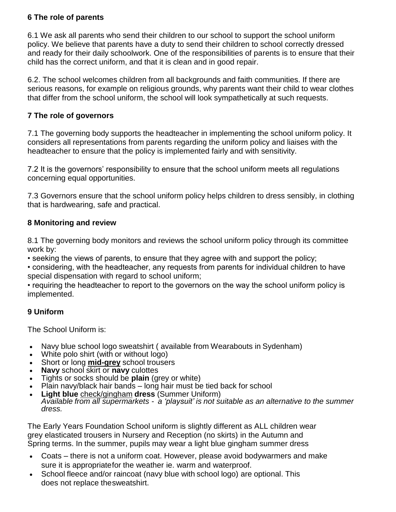#### **6 The role of parents**

6.1 We ask all parents who send their children to our school to support the school uniform policy. We believe that parents have a duty to send their children to school correctly dressed and ready for their daily schoolwork. One of the responsibilities of parents is to ensure that their child has the correct uniform, and that it is clean and in good repair.

6.2. The school welcomes children from all backgrounds and faith communities. If there are serious reasons, for example on religious grounds, why parents want their child to wear clothes that differ from the school uniform, the school will look sympathetically at such requests.

#### **7 The role of governors**

7.1 The governing body supports the headteacher in implementing the school uniform policy. It considers all representations from parents regarding the uniform policy and liaises with the headteacher to ensure that the policy is implemented fairly and with sensitivity.

7.2 It is the governors' responsibility to ensure that the school uniform meets all regulations concerning equal opportunities.

7.3 Governors ensure that the school uniform policy helps children to dress sensibly, in clothing that is hardwearing, safe and practical.

#### **8 Monitoring and review**

8.1 The governing body monitors and reviews the school uniform policy through its committee work by:

• seeking the views of parents, to ensure that they agree with and support the policy;

• considering, with the headteacher, any requests from parents for individual children to have special dispensation with regard to school uniform;

• requiring the headteacher to report to the governors on the way the school uniform policy is implemented.

#### **9 Uniform**

The School Uniform is:

- Navy blue school logo sweatshirt ( available from Wearabouts in Sydenham)
- White polo shirt (with or without logo)
- Short or long **mid-grey** school trousers
- **Navy** school skirt or **navy** culottes
- Tights or socks should be **plain** (grey or white)
- Plain navy/black hair bands long hair must be tied back for school
- **Light blue** check/gingham **dress** (Summer Uniform) *Available from all supermarkets - a 'playsuit' is not suitable as an alternative to the summer dress.*

The Early Years Foundation School uniform is slightly different as ALL children wear grey elasticated trousers in Nursery and Reception (no skirts) in the Autumn and Spring terms. In the summer, pupils may wear a light blue gingham summer dress

- Coats there is not a uniform coat. However, please avoid bodywarmers and make sure it is appropriatefor the weather ie. warm and waterproof.
- School fleece and/or raincoat (navy blue with school logo) are optional. This does not replace thesweatshirt.